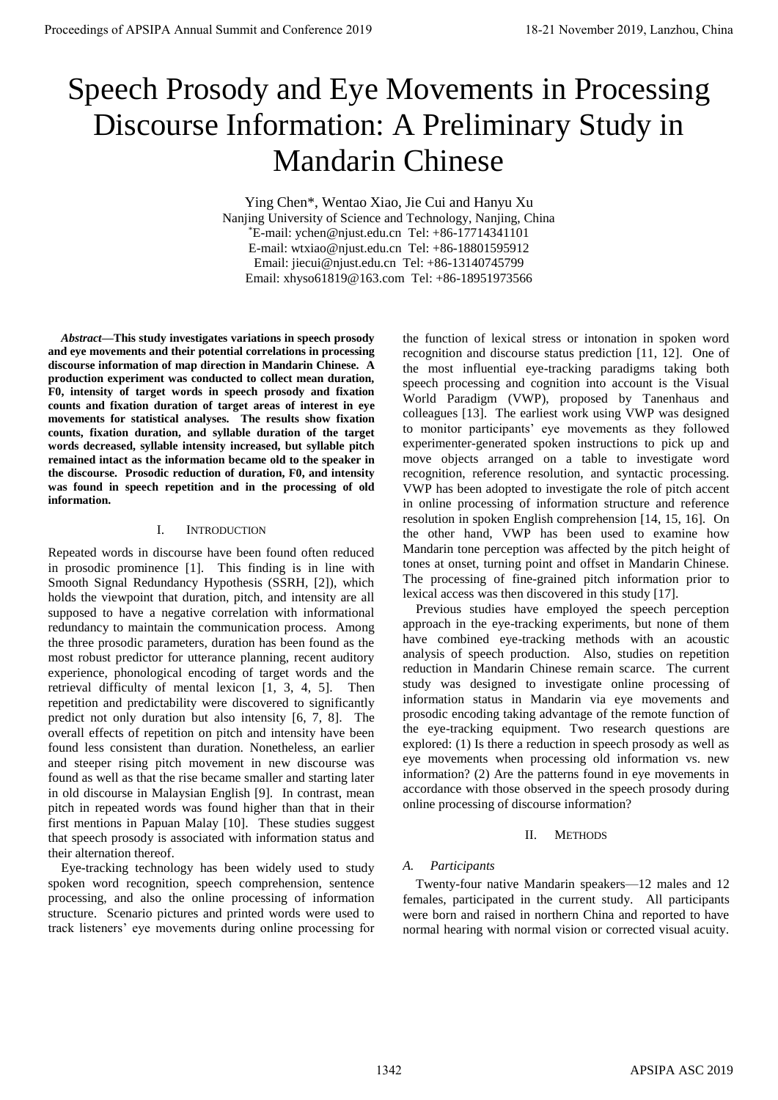# Speech Prosody and Eye Movements in Processing Discourse Information: A Preliminary Study in Mandarin Chinese

Ying Chen\*, Wentao Xiao, Jie Cui and Hanyu Xu Nanjing University of Science and Technology, Nanjing, China \*E-mail: ychen@njust.edu.cn Tel: +86-17714341101 E-mail: wtxiao@njust.edu.cn Tel: +86-18801595912 Email: jiecui@njust.edu.cn Tel: +86-13140745799 Email: xhyso61819@163.com Tel: +86-18951973566

*Abstract***—This study investigates variations in speech prosody and eye movements and their potential correlations in processing discourse information of map direction in Mandarin Chinese. A production experiment was conducted to collect mean duration, F0, intensity of target words in speech prosody and fixation counts and fixation duration of target areas of interest in eye movements for statistical analyses. The results show fixation counts, fixation duration, and syllable duration of the target words decreased, syllable intensity increased, but syllable pitch remained intact as the information became old to the speaker in the discourse. Prosodic reduction of duration, F0, and intensity was found in speech repetition and in the processing of old information.** 

#### I. INTRODUCTION

Repeated words in discourse have been found often reduced in prosodic prominence [1]. This finding is in line with Smooth Signal Redundancy Hypothesis (SSRH, [2]), which holds the viewpoint that duration, pitch, and intensity are all supposed to have a negative correlation with informational redundancy to maintain the communication process. Among the three prosodic parameters, duration has been found as the most robust predictor for utterance planning, recent auditory experience, phonological encoding of target words and the retrieval difficulty of mental lexicon [1, 3, 4, 5]. Then repetition and predictability were discovered to significantly predict not only duration but also intensity [6, 7, 8]. The overall effects of repetition on pitch and intensity have been found less consistent than duration. Nonetheless, an earlier and steeper rising pitch movement in new discourse was found as well as that the rise became smaller and starting later in old discourse in Malaysian English [9]. In contrast, mean pitch in repeated words was found higher than that in their first mentions in Papuan Malay [10]. These studies suggest that speech prosody is associated with information status and their alternation thereof.

Eye-tracking technology has been widely used to study spoken word recognition, speech comprehension, sentence processing, and also the online processing of information structure. Scenario pictures and printed words were used to track listeners' eye movements during online processing for the function of lexical stress or intonation in spoken word recognition and discourse status prediction [11, 12]. One of the most influential eye-tracking paradigms taking both speech processing and cognition into account is the Visual World Paradigm (VWP), proposed by Tanenhaus and colleagues [13]. The earliest work using VWP was designed to monitor participants' eye movements as they followed experimenter-generated spoken instructions to pick up and move objects arranged on a table to investigate word recognition, reference resolution, and syntactic processing. VWP has been adopted to investigate the role of pitch accent in online processing of information structure and reference resolution in spoken English comprehension [14, 15, 16]. On the other hand, VWP has been used to examine how Mandarin tone perception was affected by the pitch height of tones at onset, turning point and offset in Mandarin Chinese. The processing of fine-grained pitch information prior to lexical access was then discovered in this study [17].

Previous studies have employed the speech perception approach in the eye-tracking experiments, but none of them have combined eye-tracking methods with an acoustic analysis of speech production. Also, studies on repetition reduction in Mandarin Chinese remain scarce. The current study was designed to investigate online processing of information status in Mandarin via eye movements and prosodic encoding taking advantage of the remote function of the eye-tracking equipment. Two research questions are explored: (1) Is there a reduction in speech prosody as well as eye movements when processing old information vs. new information? (2) Are the patterns found in eye movements in accordance with those observed in the speech prosody during online processing of discourse information?

#### II. METHODS

#### *A. Participants*

Twenty-four native Mandarin speakers—12 males and 12 females, participated in the current study. All participants were born and raised in northern China and reported to have normal hearing with normal vision or corrected visual acuity.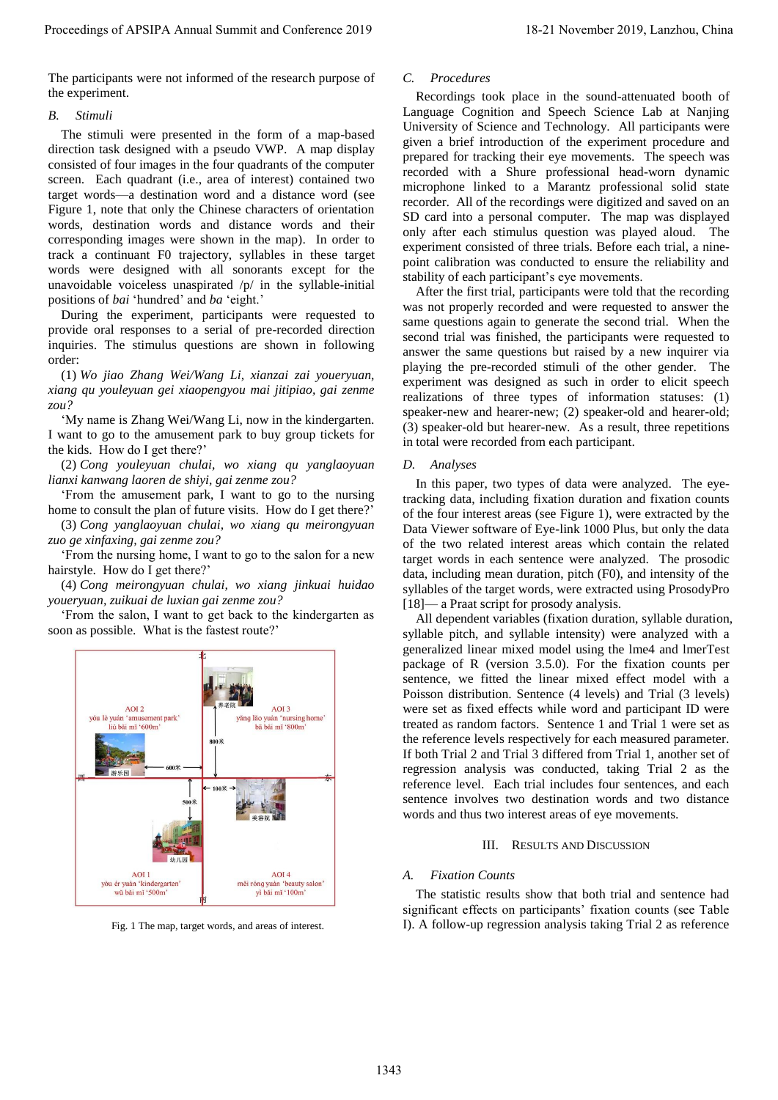The participants were not informed of the research purpose of the experiment.

## *B. Stimuli*

The stimuli were presented in the form of a map-based direction task designed with a pseudo VWP. A map display consisted of four images in the four quadrants of the computer screen. Each quadrant (i.e., area of interest) contained two target words—a destination word and a distance word (see Figure 1, note that only the Chinese characters of orientation words, destination words and distance words and their corresponding images were shown in the map). In order to track a continuant F0 trajectory, syllables in these target words were designed with all sonorants except for the unavoidable voiceless unaspirated  $/p/$  in the syllable-initial positions of *bai* 'hundred' and *ba* 'eight.'

During the experiment, participants were requested to provide oral responses to a serial of pre-recorded direction inquiries. The stimulus questions are shown in following order:

(1) *Wo jiao Zhang Wei/Wang Li, xianzai zai youeryuan, xiang qu youleyuan gei xiaopengyou mai jitipiao, gai zenme zou?*

'My name is Zhang Wei/Wang Li, now in the kindergarten. I want to go to the amusement park to buy group tickets for the kids. How do I get there?'

(2) *Cong youleyuan chulai, wo xiang qu yanglaoyuan lianxi kanwang laoren de shiyi, gai zenme zou?*

'From the amusement park, I want to go to the nursing home to consult the plan of future visits. How do I get there?'

(3) *Cong yanglaoyuan chulai, wo xiang qu meirongyuan zuo ge xinfaxing, gai zenme zou?*

'From the nursing home, I want to go to the salon for a new hairstyle. How do I get there?'

(4) *Cong meirongyuan chulai, wo xiang jinkuai huidao youeryuan, zuikuai de luxian gai zenme zou?*

'From the salon, I want to get back to the kindergarten as soon as possible. What is the fastest route?'



Fig. 1 The map, target words, and areas of interest.

# *C. Procedures*

Recordings took place in the sound-attenuated booth of Language Cognition and Speech Science Lab at Nanjing University of Science and Technology. All participants were given a brief introduction of the experiment procedure and prepared for tracking their eye movements. The speech was recorded with a Shure professional head-worn dynamic microphone linked to a Marantz professional solid state recorder. All of the recordings were digitized and saved on an SD card into a personal computer. The map was displayed only after each stimulus question was played aloud. The experiment consisted of three trials. Before each trial, a ninepoint calibration was conducted to ensure the reliability and stability of each participant's eye movements.

After the first trial, participants were told that the recording was not properly recorded and were requested to answer the same questions again to generate the second trial. When the second trial was finished, the participants were requested to answer the same questions but raised by a new inquirer via playing the pre-recorded stimuli of the other gender. The experiment was designed as such in order to elicit speech realizations of three types of information statuses: (1) speaker-new and hearer-new; (2) speaker-old and hearer-old; (3) speaker-old but hearer-new. As a result, three repetitions in total were recorded from each participant.

## *D. Analyses*

In this paper, two types of data were analyzed. The eyetracking data, including fixation duration and fixation counts of the four interest areas (see Figure 1), were extracted by the Data Viewer software of Eye-link 1000 Plus, but only the data of the two related interest areas which contain the related target words in each sentence were analyzed. The prosodic data, including mean duration, pitch (F0), and intensity of the syllables of the target words, were extracted using ProsodyPro [18]— a Praat script for prosody analysis.

All dependent variables (fixation duration, syllable duration, syllable pitch, and syllable intensity) were analyzed with a generalized linear mixed model using the lme4 and lmerTest package of R (version 3.5.0). For the fixation counts per sentence, we fitted the linear mixed effect model with a Poisson distribution. Sentence (4 levels) and Trial (3 levels) were set as fixed effects while word and participant ID were treated as random factors. Sentence 1 and Trial 1 were set as the reference levels respectively for each measured parameter. If both Trial 2 and Trial 3 differed from Trial 1, another set of regression analysis was conducted, taking Trial 2 as the reference level. Each trial includes four sentences, and each sentence involves two destination words and two distance words and thus two interest areas of eye movements.

#### III. RESULTS AND DISCUSSION

#### *A. Fixation Counts*

The statistic results show that both trial and sentence had significant effects on participants' fixation counts (see Table Ⅰ). A follow-up regression analysis taking Trial 2 as reference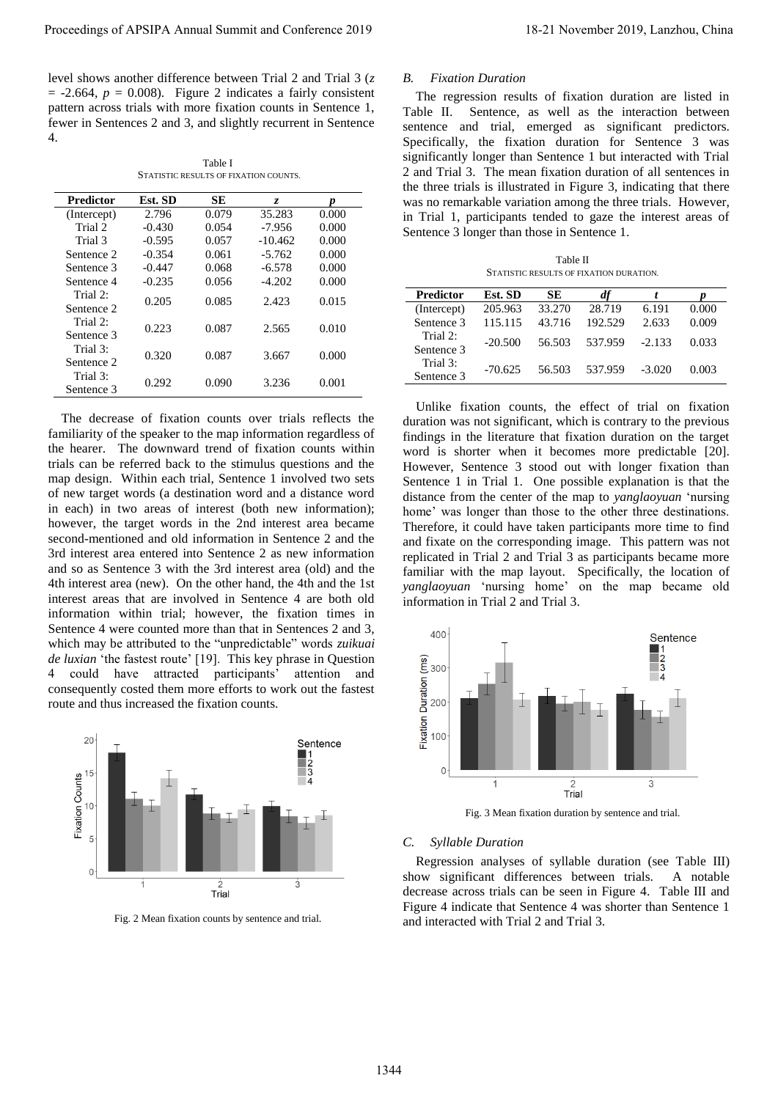level shows another difference between Trial 2 and Trial 3 (*z*  $= -2.664$ ,  $p = 0.008$ ). Figure 2 indicates a fairly consistent pattern across trials with more fixation counts in Sentence 1, fewer in Sentences 2 and 3, and slightly recurrent in Sentence 4.

Table Ⅰ STATISTIC RESULTS OF FIXATION COUNTS.

| Predictor   | Est. SD  | SЕ    | Z.        |       |
|-------------|----------|-------|-----------|-------|
| (Intercept) | 2.796    | 0.079 | 35.283    | 0.000 |
| Trial 2     | $-0.430$ | 0.054 | $-7.956$  | 0.000 |
| Trial 3     | $-0.595$ | 0.057 | $-10.462$ | 0.000 |
| Sentence 2  | $-0.354$ | 0.061 | $-5.762$  | 0.000 |
| Sentence 3  | $-0.447$ | 0.068 | $-6.578$  | 0.000 |
| Sentence 4  | $-0.235$ | 0.056 | $-4.202$  | 0.000 |
| Trial 2:    | 0.205    | 0.085 | 2.423     | 0.015 |
| Sentence 2  |          |       |           |       |
| Trial 2:    | 0.223    | 0.087 | 2.565     | 0.010 |
| Sentence 3  |          |       |           |       |
| Trial 3:    | 0.320    | 0.087 | 3.667     | 0.000 |
| Sentence 2  |          |       |           |       |
| Trial $3$ : | 0.292    | 0.090 | 3.236     | 0.001 |
| Sentence 3  |          |       |           |       |
|             |          |       |           |       |

The decrease of fixation counts over trials reflects the familiarity of the speaker to the map information regardless of the hearer. The downward trend of fixation counts within trials can be referred back to the stimulus questions and the map design. Within each trial, Sentence 1 involved two sets of new target words (a destination word and a distance word in each) in two areas of interest (both new information); however, the target words in the 2nd interest area became second-mentioned and old information in Sentence 2 and the 3rd interest area entered into Sentence 2 as new information and so as Sentence 3 with the 3rd interest area (old) and the 4th interest area (new). On the other hand, the 4th and the 1st interest areas that are involved in Sentence 4 are both old information within trial; however, the fixation times in Sentence 4 were counted more than that in Sentences 2 and 3, which may be attributed to the "unpredictable" words *zuikuai de luxian* 'the fastest route' [19]. This key phrase in Question 4 could have attracted participants' attention and consequently costed them more efforts to work out the fastest route and thus increased the fixation counts. Proceeding of APSIPA Annual Summit and Conference 2019<br>
The Universe 2019 18-21 November 2019 2019 18:<br>
The Universe 2019 18: The Universe 2019 18: The Universe 2019 18: The Universe 2019 18: The Universe 2019 18: The Uni



Fig. 2 Mean fixation counts by sentence and trial.

# *B. Fixation Duration*

The regression results of fixation duration are listed in Table II. Sentence, as well as the interaction between sentence and trial, emerged as significant predictors. Specifically, the fixation duration for Sentence 3 was significantly longer than Sentence 1 but interacted with Trial 2 and Trial 3. The mean fixation duration of all sentences in the three trials is illustrated in Figure 3, indicating that there was no remarkable variation among the three trials. However, in Trial 1, participants tended to gaze the interest areas of Sentence 3 longer than those in Sentence 1.

Table Ⅱ STATISTIC RESULTS OF FIXATION DURATION.

| <b>Predictor</b> | Est. SD   | SЕ     | df      |          |       |
|------------------|-----------|--------|---------|----------|-------|
| (Intercept)      | 205.963   | 33.270 | 28.719  | 6.191    | 0.000 |
| Sentence 3       | 115.115   | 43.716 | 192.529 | 2.633    | 0.009 |
| Trial $2$ :      | $-20.500$ | 56.503 | 537.959 | $-2.133$ | 0.033 |
| Sentence 3       |           |        |         |          |       |
| Trial 3:         | $-70.625$ | 56.503 | 537.959 | $-3.020$ | 0.003 |
| Sentence 3       |           |        |         |          |       |

Unlike fixation counts, the effect of trial on fixation duration was not significant, which is contrary to the previous findings in the literature that fixation duration on the target word is shorter when it becomes more predictable [20]. However, Sentence 3 stood out with longer fixation than Sentence 1 in Trial 1. One possible explanation is that the distance from the center of the map to *yanglaoyuan* 'nursing home' was longer than those to the other three destinations. Therefore, it could have taken participants more time to find and fixate on the corresponding image. This pattern was not replicated in Trial 2 and Trial 3 as participants became more familiar with the map layout. Specifically, the location of *yanglaoyuan* 'nursing home' on the map became old information in Trial 2 and Trial 3.



Fig. 3 Mean fixation duration by sentence and trial.

#### *C. Syllable Duration*

Regression analyses of syllable duration (see Table Ⅲ) show significant differences between trials. A notable decrease across trials can be seen in Figure 4. Table Ⅲ and Figure 4 indicate that Sentence 4 was shorter than Sentence 1 and interacted with Trial 2 and Trial 3.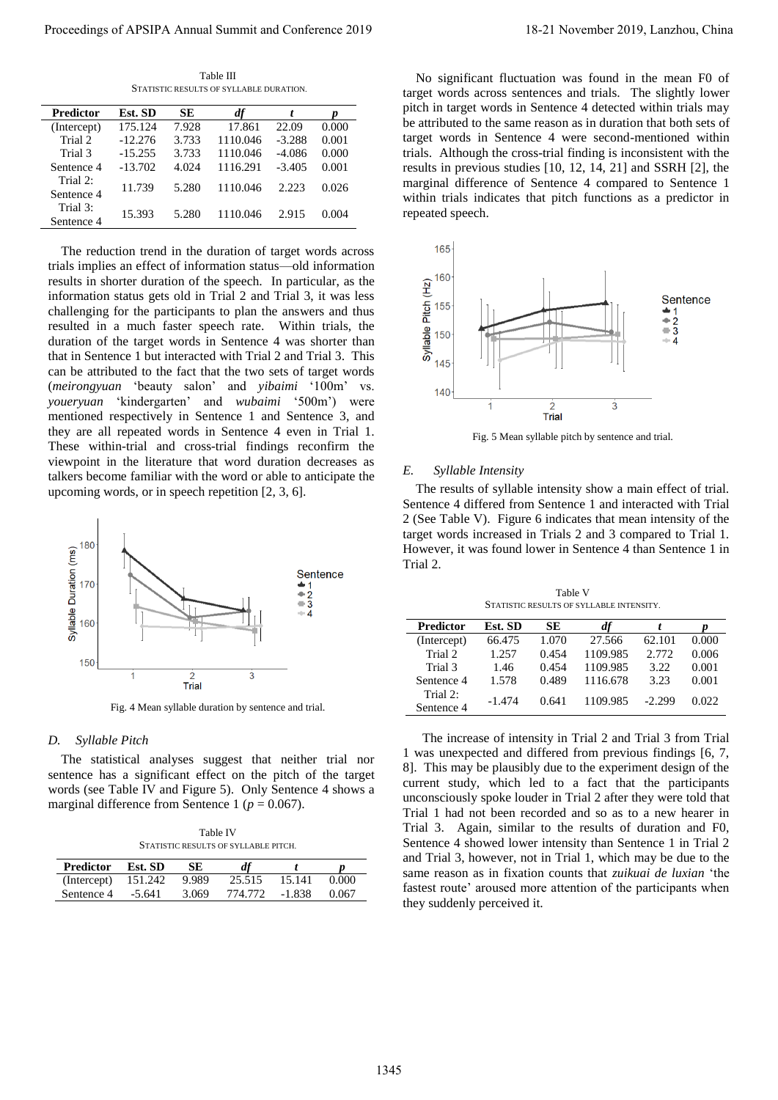Table Ⅲ STATISTIC RESULTS OF SYLLABLE DURATION.

| <b>Predictor</b>       | Est. SD   | SE    |          |          |       |
|------------------------|-----------|-------|----------|----------|-------|
| (Intercept)            | 175.124   | 7.928 | 17.861   | 22.09    | 0.000 |
| Trial 2                | $-12.276$ | 3.733 | 1110.046 | $-3.288$ | 0.001 |
| Trial 3                | $-15.255$ | 3.733 | 1110.046 | $-4.086$ | 0.000 |
| Sentence 4             | $-13.702$ | 4.024 | 1116.291 | $-3.405$ | 0.001 |
| Trial 2:<br>Sentence 4 | 11.739    | 5.280 | 1110.046 | 2.223    | 0.026 |
| Trial 3:<br>Sentence 4 | 15.393    | 5.280 | 1110.046 | 2.915    | 0.004 |

The reduction trend in the duration of target words across trials implies an effect of information status—old information results in shorter duration of the speech. In particular, as the information status gets old in Trial 2 and Trial 3, it was less challenging for the participants to plan the answers and thus resulted in a much faster speech rate. Within trials, the duration of the target words in Sentence 4 was shorter than that in Sentence 1 but interacted with Trial 2 and Trial 3. This can be attributed to the fact that the two sets of target words (*meirongyuan* 'beauty salon' and *yibaimi* '100m' vs. *youeryuan* 'kindergarten' and *wubaimi* '500m') were mentioned respectively in Sentence 1 and Sentence 3, and they are all repeated words in Sentence 4 even in Trial 1. These within-trial and cross-trial findings reconfirm the viewpoint in the literature that word duration decreases as talkers become familiar with the word or able to anticipate the upcoming words, or in speech repetition [2, 3, 6]. Proceeding of APSIPA Annual Summit and Conference 2019<br> **Proceedings of APSIPA Annual Summit and Conference 2019**<br> **Proceeding and Conference 2019**<br> **Proceeding and Conference 2019**<br> **Proceeding and Conference 2019**<br> **Pro** 



Fig. 4 Mean syllable duration by sentence and trial.

#### *D. Syllable Pitch*

The statistical analyses suggest that neither trial nor sentence has a significant effect on the pitch of the target words (see Table Ⅳ and Figure 5). Only Sentence 4 shows a marginal difference from Sentence 1 ( $p = 0.067$ ).

Table Ⅳ STATISTIC RESULTS OF SYLLABLE PITCH.

| <b>Predictor</b> | Est. SD  | SE.   |         |          |       |
|------------------|----------|-------|---------|----------|-------|
| (Intercept)      | 151.242  | 9.989 | 25.515  | 15.141   | 0.000 |
| Sentence 4       | $-5.641$ | 3.069 | 774.772 | $-1.838$ | 0.067 |

No significant fluctuation was found in the mean F0 of target words across sentences and trials. The slightly lower pitch in target words in Sentence 4 detected within trials may be attributed to the same reason as in duration that both sets of target words in Sentence 4 were second-mentioned within trials. Although the cross-trial finding is inconsistent with the results in previous studies [10, 12, 14, 21] and SSRH [2], the marginal difference of Sentence 4 compared to Sentence 1 within trials indicates that pitch functions as a predictor in repeated speech.



Fig. 5 Mean syllable pitch by sentence and trial.

#### *E. Syllable Intensity*

The results of syllable intensity show a main effect of trial. Sentence 4 differed from Sentence 1 and interacted with Trial 2 (See Table Ⅴ). Figure 6 indicates that mean intensity of the target words increased in Trials 2 and 3 compared to Trial 1. However, it was found lower in Sentence 4 than Sentence 1 in Trial 2.

Table Ⅴ STATISTIC RESULTS OF SYLLABLE INTENSITY.

| Predictor   | Est. SD  | SЕ    | df       |          |       |
|-------------|----------|-------|----------|----------|-------|
| (Intercept) | 66.475   | 1.070 | 27.566   | 62.101   | 0.000 |
| Trial 2     | 1.257    | 0.454 | 1109.985 | 2.772    | 0.006 |
| Trial 3     | 1.46     | 0.454 | 1109.985 | 3.22     | 0.001 |
| Sentence 4  | 1.578    | 0.489 | 1116.678 | 3.23     | 0.001 |
| Trial $2:$  | $-1.474$ | 0.641 | 1109.985 | $-2.299$ | 0.022 |
| Sentence 4  |          |       |          |          |       |

 The increase of intensity in Trial 2 and Trial 3 from Trial 1 was unexpected and differed from previous findings [6, 7, 8]. This may be plausibly due to the experiment design of the current study, which led to a fact that the participants unconsciously spoke louder in Trial 2 after they were told that Trial 1 had not been recorded and so as to a new hearer in Trial 3. Again, similar to the results of duration and F0, Sentence 4 showed lower intensity than Sentence 1 in Trial 2 and Trial 3, however, not in Trial 1, which may be due to the same reason as in fixation counts that *zuikuai de luxian* 'the fastest route' aroused more attention of the participants when they suddenly perceived it.